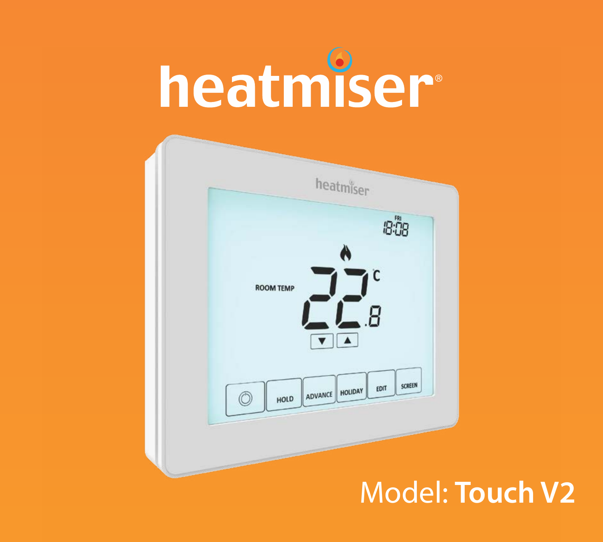

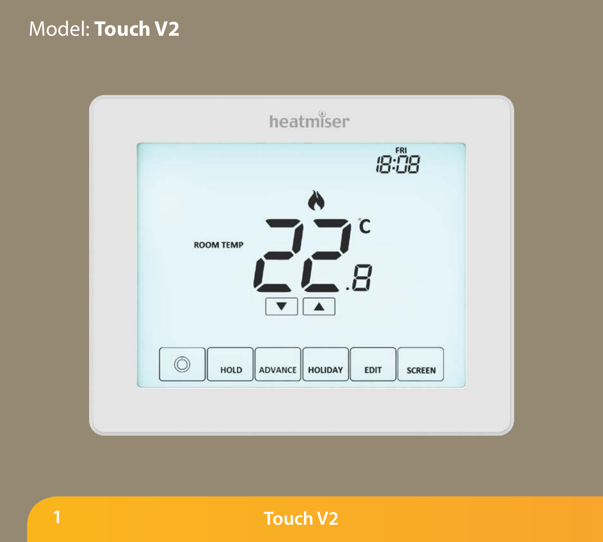### Model: **Touch V2**

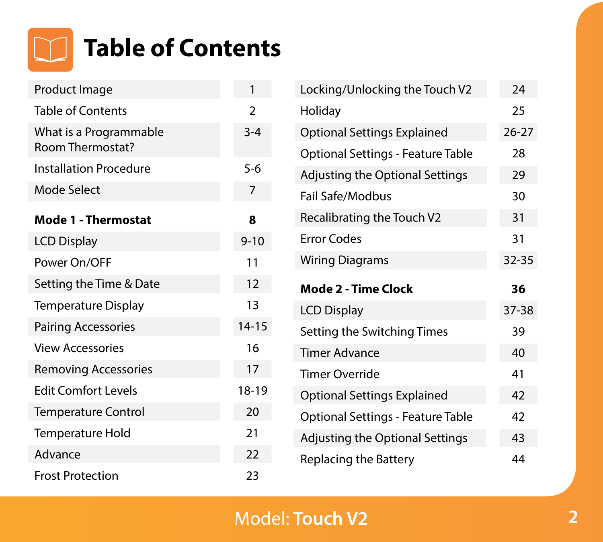

| Product Image                                     | 1              |
|---------------------------------------------------|----------------|
| <b>Table of Contents</b>                          | $\overline{2}$ |
| What is a Programmable<br><b>Room Thermostat?</b> | $3 - 4$        |
| <b>Installation Procedure</b>                     | $5 - 6$        |
| Mode Select                                       | 7              |
| Mode 1 - Thermostat                               | ឧ              |
| <b>LCD Display</b>                                | $9 - 10$       |
| Power On/OFF                                      | 11             |
| Setting the Time & Date                           | 12             |
| <b>Temperature Display</b>                        | 13             |
| <b>Pairing Accessories</b>                        | $14 - 15$      |
| <b>View Accessories</b>                           | 16             |
| <b>Removing Accessories</b>                       | 17             |
| <b>Edit Comfort Levels</b>                        | 18-19          |
| <b>Temperature Control</b>                        | 20             |
| <b>Temperature Hold</b>                           | 21             |
| Advance                                           | 22             |
| <b>Frost Protection</b>                           | 23             |

| Locking/Unlocking the Touch V2     | 24        |
|------------------------------------|-----------|
| Holiday                            | 25        |
| <b>Optional Settings Explained</b> | $26 - 27$ |
| Optional Settings - Feature Table  | 28        |
| Adjusting the Optional Settings    | 29        |
| Fail Safe/Modbus                   | 30        |
| Recalibrating the Touch V2         | 31        |
| <b>Error Codes</b>                 | 31        |
| <b>Wiring Diagrams</b>             | $32 - 35$ |
|                                    |           |
| Mode 2 - Time Clock                | 36        |
| <b>LCD Display</b>                 | 37-38     |
| Setting the Switching Times        | 39        |
| <b>Timer Advance</b>               | 40        |
| Timer Override                     | 41        |
| <b>Optional Settings Explained</b> | 42        |
| Optional Settings - Feature Table  | 42        |
| Adjusting the Optional Settings    | 43        |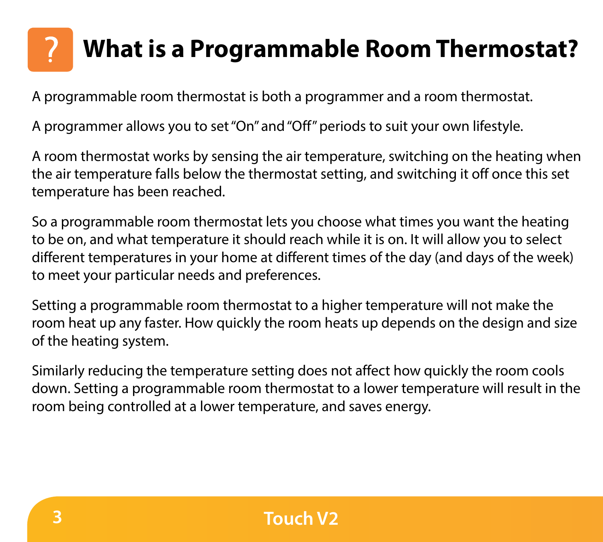# **Section Header What is a Programmable Room Thermostat?**

A programmable room thermostat is both a programmer and a room thermostat.

A programmer allows you to set "On" and "Off" periods to suit your own lifestyle.

A room thermostat works by sensing the air temperature, switching on the heating when the air temperature falls below the thermostat setting, and switching it off once this set temperature has been reached.

So a programmable room thermostat lets you choose what times you want the heating to be on, and what temperature it should reach while it is on. It will allow you to select different temperatures in your home at different times of the day (and days of the week) to meet your particular needs and preferences.

Setting a programmable room thermostat to a higher temperature will not make the room heat up any faster. How quickly the room heats up depends on the design and size of the heating system.

Similarly reducing the temperature setting does not affect how quickly the room cools down. Setting a programmable room thermostat to a lower temperature will result in the room being controlled at a lower temperature, and saves energy.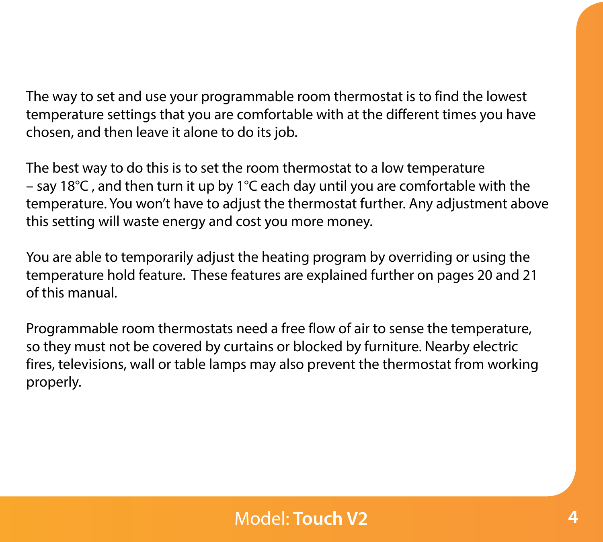The way to set and use your programmable room thermostat is to find the lowest temperature settings that you are comfortable with at the different times you have chosen, and then leave it alone to do its job.

The best way to do this is to set the room thermostat to a low temperature – say 18°C , and then turn it up by 1°C each day until you are comfortable with the temperature. You won't have to adjust the thermostat further. Any adjustment above this setting will waste energy and cost you more money.

You are able to temporarily adjust the heating program by overriding or using the temperature hold feature. These features are explained further on pages 20 and 21 of this manual.

Programmable room thermostats need a free flow of air to sense the temperature, so they must not be covered by curtains or blocked by furniture. Nearby electric fires, televisions, wall or table lamps may also prevent the thermostat from working properly.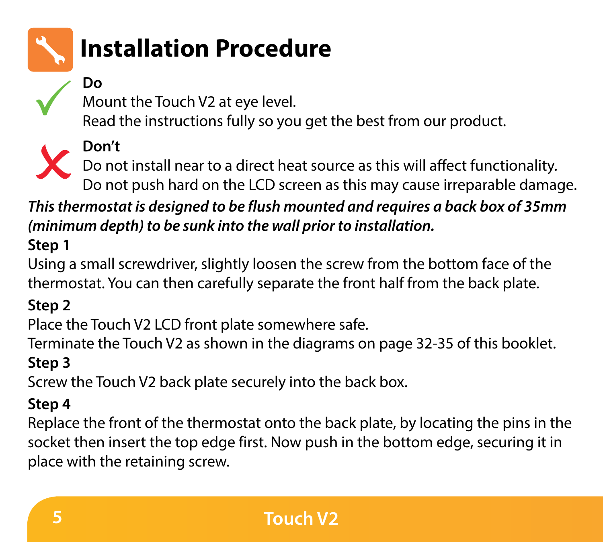

# **Section Header Installation Procedure**

### **Do**

Mount the Touch V2 at eye level.

Read the instructions fully so you get the best from our product.

### **Don't**

Do not install near to a direct heat source as this will affect functionality. Do not push hard on the LCD screen as this may cause irreparable damage.

*This thermostat is designed to be flush mounted and requires a back box of 35mm (minimum depth) to be sunk into the wall prior to installation.*

### **Step 1**

Using a small screwdriver, slightly loosen the screw from the bottom face of the thermostat. You can then carefully separate the front half from the back plate.

### **Step 2**

Place the Touch V2 LCD front plate somewhere safe.

Terminate the Touch V2 as shown in the diagrams on page 32-35 of this booklet. **Step 3**

Screw the Touch V2 back plate securely into the back box.

### **Step 4**

Replace the front of the thermostat onto the back plate, by locating the pins in the socket then insert the top edge first. Now push in the bottom edge, securing it in place with the retaining screw.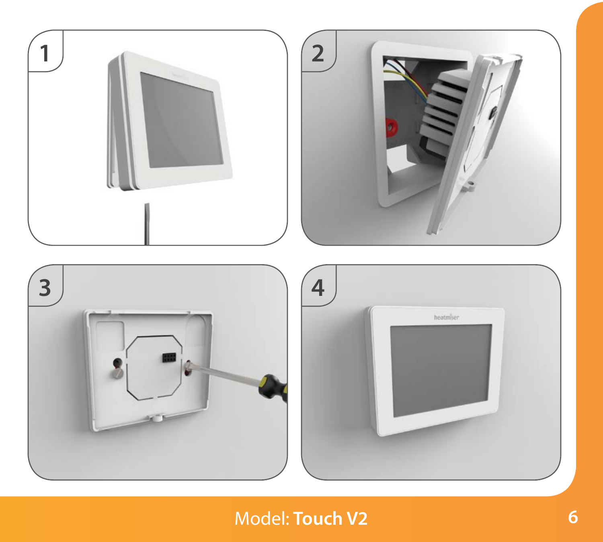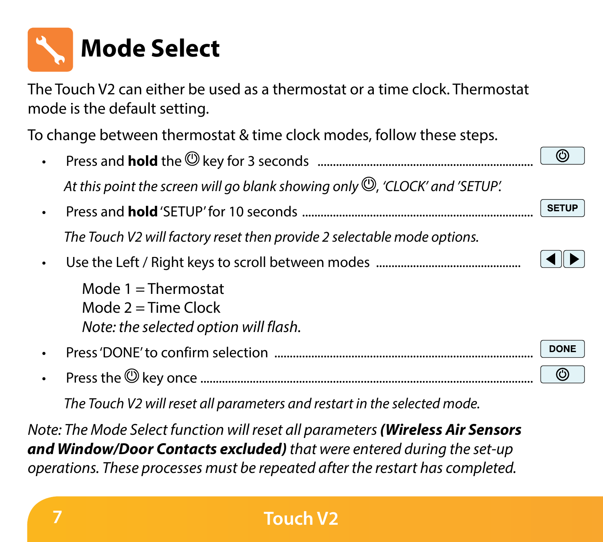

The Touch V2 can either be used as a thermostat or a time clock. Thermostat mode is the default setting.

To change between thermostat & time clock modes, follow these steps.

• Press and **hold** the key for 3 seconds ......................................................................  $\circledcirc$ At this point the screen will go blank showing only  $\mathbb{Q}$ , *'CLOCK' and 'SETUP'.* • Press and **hold** 'SETUP' for 10 seconds ........................................................................... **SETUP** *The Touch V2 will factory reset then provide 2 selectable mode options.* • Use the Left / Right keys to scroll between modes ............................................... Mode  $1 =$ Thermostat Mode  $2 = Time$  Clock *Note: the selected option will flash.* **DONI** • Press 'DONE' to confirm selection .................................................................................... • Press the key once ............................................................................................................

*The Touch V2 will reset all parameters and restart in the selected mode.*

*Note: The Mode Select function will reset all parameters (Wireless Air Sensors and Window/Door Contacts excluded) that were entered during the set-up operations. These processes must be repeated after the restart has completed.*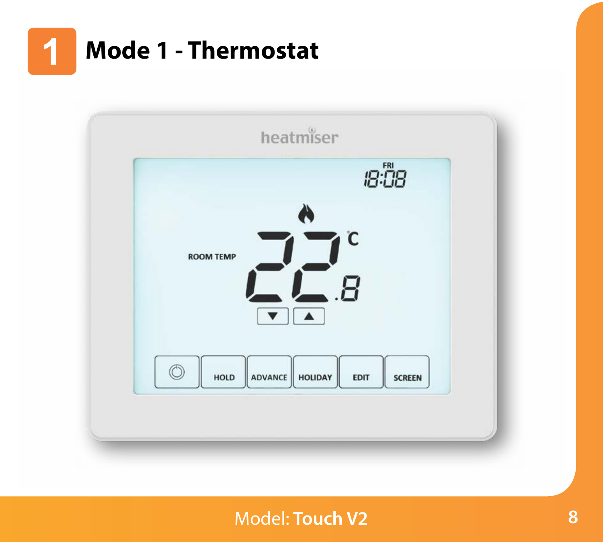

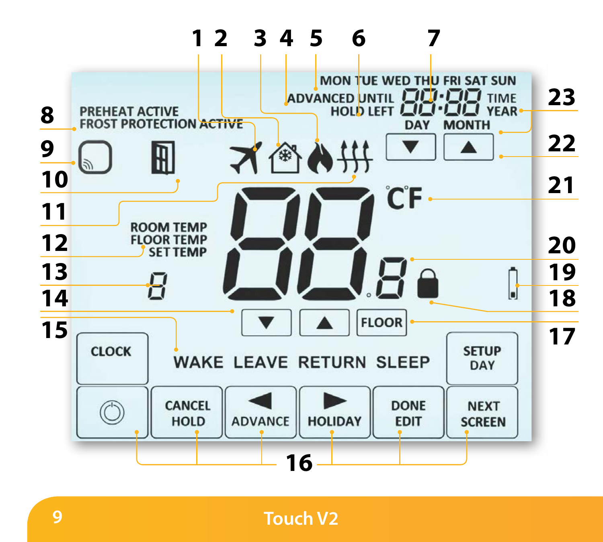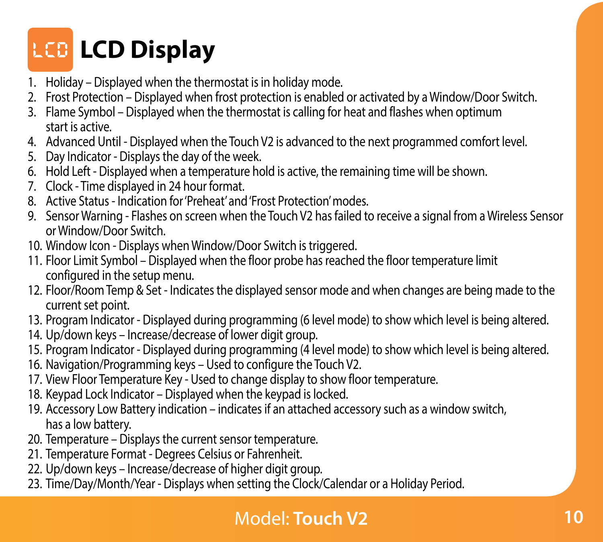# **Section Header LCD Display**

- 1. Holiday Displayed when the thermostat is in holiday mode.
- 2. Frost Protection Displayed when frost protection is enabled or activated by a Window/Door Switch.
- 3. Flame Symbol Displayed when the thermostat is calling for heat and flashes when optimum start is active.
- 4. Advanced Until Displayed when the Touch V2 is advanced to the next programmed comfort level.
- 5. Day Indicator Displays the day of the week.
- 6. Hold Left Displayed when a temperature hold is active, the remaining time will be shown.
- 7. Clock Time displayed in 24 hour format.
- 8. Active Status Indication for 'Preheat' and 'Frost Protection' modes.
- 9. Sensor Warning Flashes on screen when the Touch V2 has failed to receive a signal from a Wireless Sensor or Window/Door Switch.
- 10. Window Icon Displays when Window/Door Switch is triggered.
- 11. Floor Limit Symbol Displayed when the floor probe has reached the floor temperature limit configured in the setup menu.
- 12. Floor/Room Temp & Set Indicates the displayed sensor mode and when changes are being made to the current set point.
- 13. Program Indicator Displayed during programming (6 level mode) to show which level is being altered.
- 14. Up/down keys Increase/decrease of lower digit group.
- 15. Program Indicator Displayed during programming (4 level mode) to show which level is being altered.
- 16. Navigation/Programming keys Used to configure the Touch V2.
- 17. View Floor Temperature Key Used to change display to show floor temperature.
- 18. Keypad Lock Indicator Displayed when the keypad is locked.
- 19. Accessory Low Battery indication indicates if an attached accessory such as a window switch, has a low battery.
- 20. Temperature Displays the current sensor temperature.
- 21. Temperature Format Degrees Celsius or Fahrenheit.
- 22. Up/down keys Increase/decrease of higher digit group.
- 23. Time/Day/Month/Year Displays when setting the Clock/Calendar or a Holiday Period.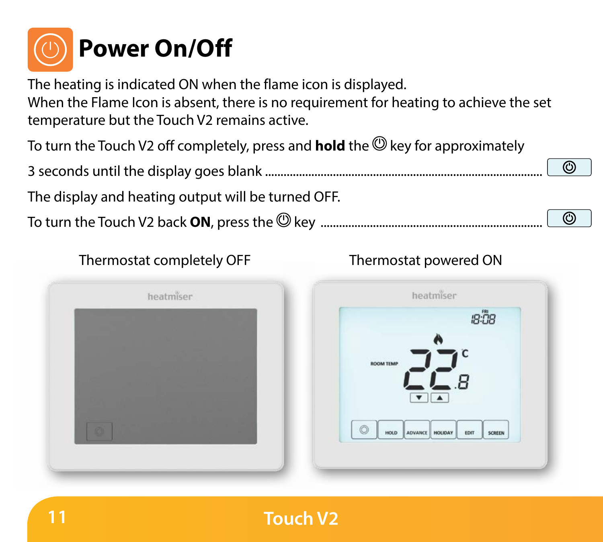

The heating is indicated ON when the flame icon is displayed.

When the Flame Icon is absent, there is no requirement for heating to achieve the set temperature but the Touch V2 remains active.

To turn the Touch V2 off completely, press and **hold** the **@** key for approximately

3 seconds until the display goes blank ..........................................................................................

The display and heating output will be turned OFF.

To turn the Touch V2 back **ON**, press the key ........................................................................

#### Thermostat completely OFF Thermostat powered ON



 $^\circledR$ 



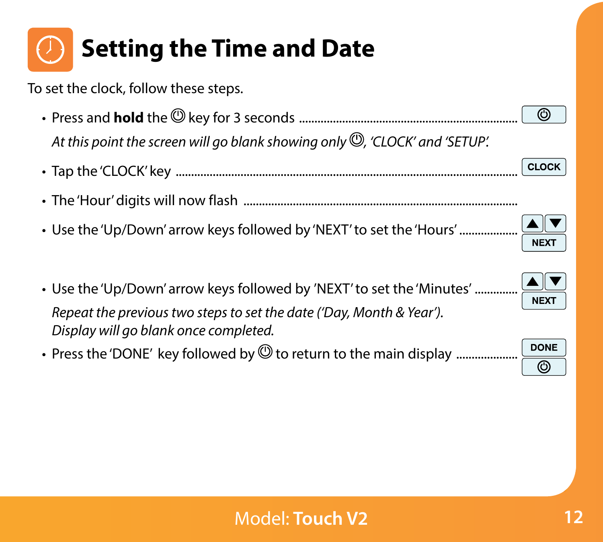

To set the clock, follow these steps.

- Press and **hold** the key for 3 seconds ....................................................................... At this point the screen will go blank showing only  $\mathbb{Q}$ . 'CLOCK' and 'SETUP'.
- Tap the 'CLOCK' key ...............................................................................................................
- The 'Hour' digits will now flash .........................................................................................
- Use the 'Up/Down' arrow keys followed by 'NEXT' to set the 'Hours' ...................
- Use the 'Up/Down' arrow keys followed by 'NEXT' to set the 'Minutes' .............. *Repeat the previous two steps to set the date ('Day, Month & Year'). Display will go blank once completed.*
- Press the 'DONE' key followed by to return to the main display ....................

 $\overline{\circ}$ 

CLOCK

**DONE**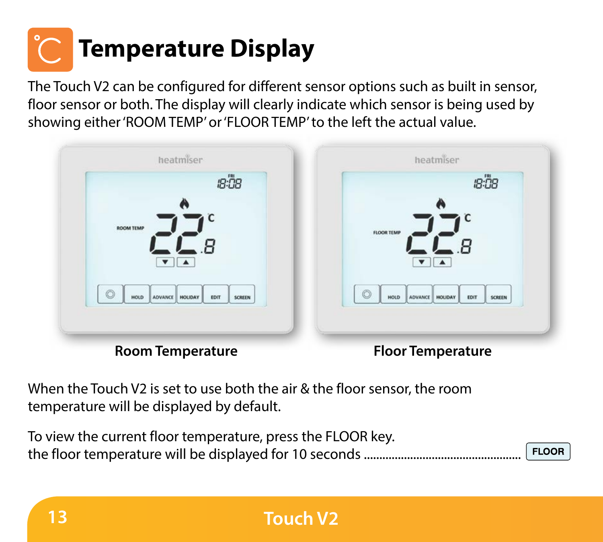# **Section Header Temperature Display**

The Touch V2 can be configured for different sensor options such as built in sensor, floor sensor or both. The display will clearly indicate which sensor is being used by showing either 'ROOM TEMP' or 'FLOOR TEMP' to the left the actual value.



When the Touch V2 is set to use both the air & the floor sensor, the room temperature will be displayed by default.

| To view the current floor temperature, press the FLOOR key. |                    |
|-------------------------------------------------------------|--------------------|
|                                                             | FLOOR <sup>1</sup> |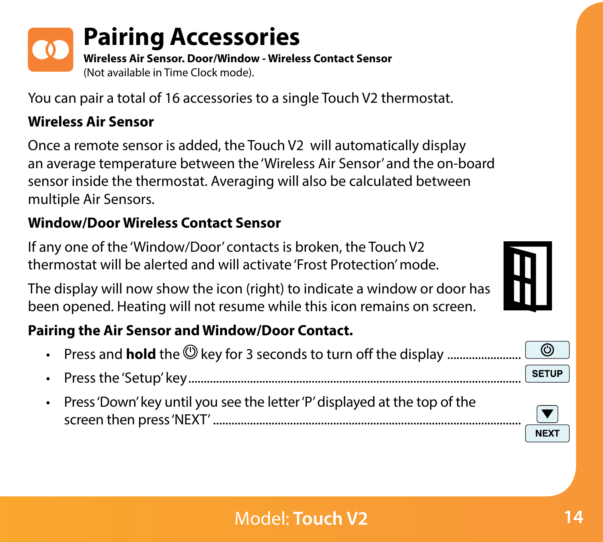

# **Pairing Accessories**

**Section Header Wireless Air Sensor. Door/Window - Wireless Contact Sensor** (Not available in Time Clock mode).

You can pair a total of 16 accessories to a single Touch V2 thermostat.

### **Wireless Air Sensor**

Once a remote sensor is added, the Touch V2 will automatically display an average temperature between the 'Wireless Air Sensor' and the on-board sensor inside the thermostat. Averaging will also be calculated between multiple Air Sensors.

### **Window/Door Wireless Contact Sensor**

If any one of the 'Window/Door' contacts is broken, the Touch V2 thermostat will be alerted and will activate 'Frost Protection' mode.

The display will now show the icon (right) to indicate a window or door has been opened. Heating will not resume while this icon remains on screen.

### **Pairing the Air Sensor and Window/Door Contact.**

- Press and **hold** the **@** key for 3 seconds to turn off the display .................
- Press the 'Setup' key............................................................................................................
- Press 'Down' key until you see the letter 'P' displayed at the top of the screen then press 'NEXT' ....................................................................................................





 $\odot$ SETUP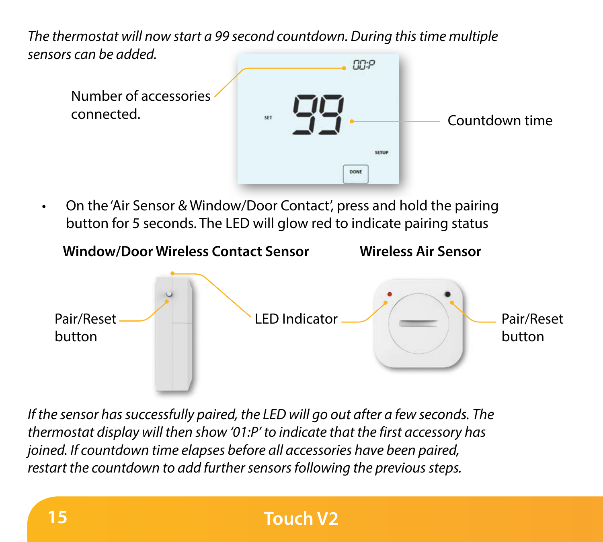**Sensors can be added.** *The thermostat will now start a 99 second countdown. During this time multiple*



• On the 'Air Sensor & Window/Door Contact', press and hold the pairing button for 5 seconds. The LED will glow red to indicate pairing status



*If the sensor has successfully paired, the LED will go out after a few seconds. The thermostat display will then show '01:P' to indicate that the first accessory has joined. If countdown time elapses before all accessories have been paired, restart the countdown to add further sensors following the previous steps.*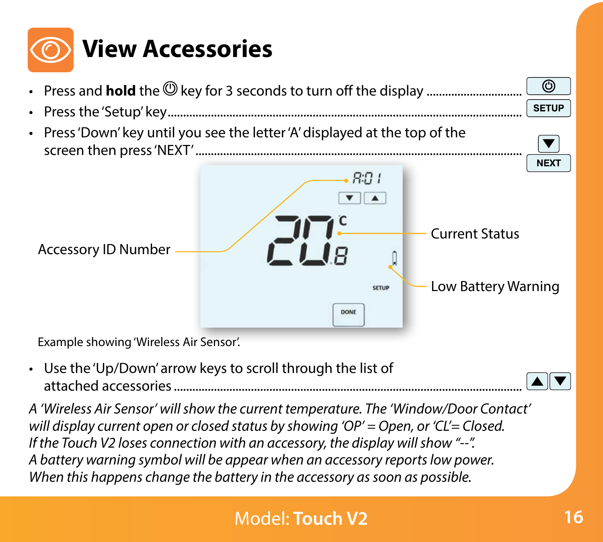



• Use the 'Up/Down' arrow keys to scroll through the list of attached accessories.................................................................................................................

*A 'Wireless Air Sensor' will show the current temperature. The 'Window/Door Contact' will display current open or closed status by showing 'OP' = Open, or 'CL'= Closed. If the Touch V2 loses connection with an accessory, the display will show "--". A battery warning symbol will be appear when an accessory reports low power. When this happens change the battery in the accessory as soon as possible.*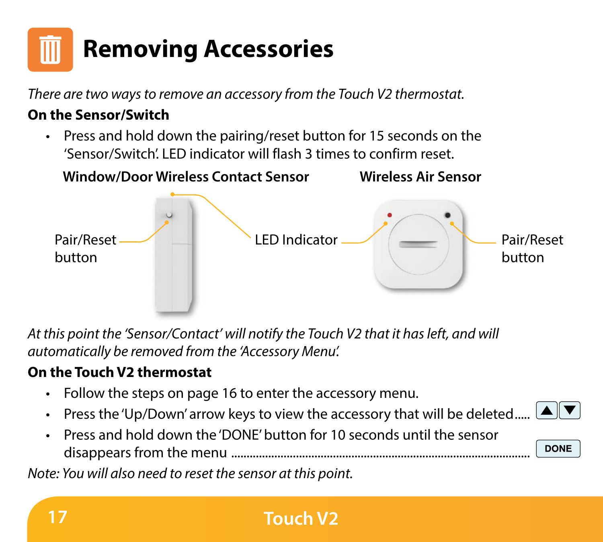

*There are two ways to remove an accessory from the Touch V2 thermostat.* 

#### **On the Sensor/Switch**

• Press and hold down the pairing/reset button for 15 seconds on the 'Sensor/Switch'. LED indicator will flash 3 times to confirm reset.



*At this point the 'Sensor/Contact' will notify the Touch V2 that it has left, and will automatically be removed from the 'Accessory Menu'.* 

#### **On the Touch V2 thermostat**

- Follow the steps on page 16 to enter the accessory menu.
- Press the 'Up/Down' arrow keys to view the accessory that will be deleted.....



*Note: You will also need to reset the sensor at this point.*

▐▲▏▼ **DONE**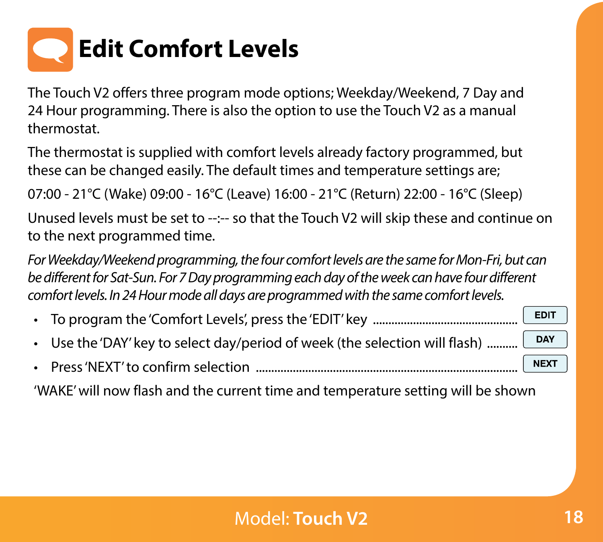

The Touch V2 offers three program mode options; Weekday/Weekend, 7 Day and 24 Hour programming. There is also the option to use the Touch V2 as a manual thermostat.

The thermostat is supplied with comfort levels already factory programmed, but these can be changed easily. The default times and temperature settings are;

07:00 - 21°C (Wake) 09:00 - 16°C (Leave) 16:00 - 21°C (Return) 22:00 - 16°C (Sleep)

Unused levels must be set to --:-- so that the Touch V2 will skip these and continue on to the next programmed time.

*For Weekday/Weekend programming, the four comfort levels are the same for Mon-Fri, but can be different for Sat-Sun. For 7 Day programming each day of the week can have four different comfort levels. In 24 Hour mode all days are programmed with the same comfort levels.*

**EDIT** • To program the 'Comfort Levels', press the 'EDIT' key ...............................................

- Use the 'DAY' key to select day/period of week (the selection will flash) ..........
- Press 'NEXT' to confirm selection ..................................................................................... **NEXT**

'WAKE' will now flash and the current time and temperature setting will be shown

DAY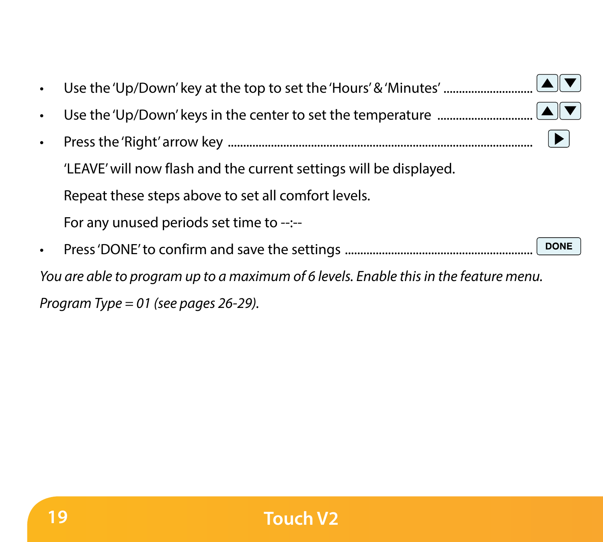| $\bullet$ | Use the 'Up/Down' keys in the center to set the temperature $\ldots$ $\ldots$ $\ldots$ $\ldots$ $\ldots$ |
|-----------|----------------------------------------------------------------------------------------------------------|
| $\bullet$ |                                                                                                          |
|           | 'LEAVE' will now flash and the current settings will be displayed.                                       |
|           | Repeat these steps above to set all comfort levels.                                                      |
|           | For any unused periods set time to --:--                                                                 |
|           | <b>DONE</b>                                                                                              |
|           | You are able to program up to a maximum of 6 levels. Enable this in the feature menu.                    |
|           |                                                                                                          |

*Program Type = 01 (see pages 26-29).*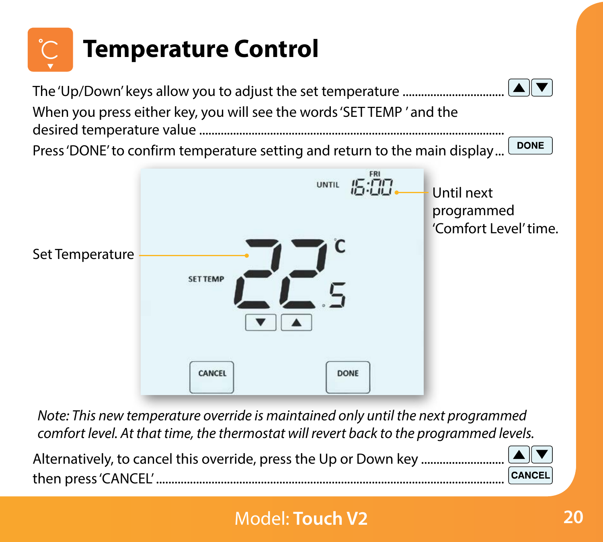

Alternatively, to cancel this override, press the Up or Down key ........................... then press 'CANCEL' .................................................................................................................

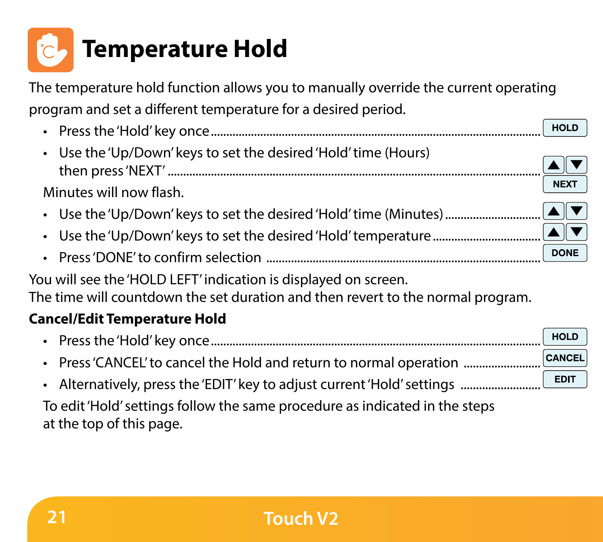

The temperature hold function allows you to manually override the current operating program and set a different temperature for a desired period.

HOLD

**NEXT** 

**DONE** 

- Press the 'Hold' key once...........................................................................................................
- Use the 'Up/Down' keys to set the desired 'Hold' time (Hours) then press 'NEXT' .........................................................................................................................

Minutes will now flash.

- Use the 'Up/Down' keys to set the desired 'Hold' time (Minutes) .................................
- Use the 'Up/Down' keys to set the desired 'Hold' temperature...................................
- Press 'DONE' to confirm selection .........................................................................................

You will see the 'HOLD LEFT' indication is displayed on screen. The time will countdown the set duration and then revert to the normal program.

#### **Cancel/Edit Temperature Hold**

HOLD • Press the 'Hold' key once........................................................................................................... CANCE • Press'CANCEL' to cancel the Hold and return to normal operation .................. **EDIT** • Alternatively, press the 'EDIT' key to adiust current 'Hold' settings ...................

To edit 'Hold' settings follow the same procedure as indicated in the steps at the top of this page.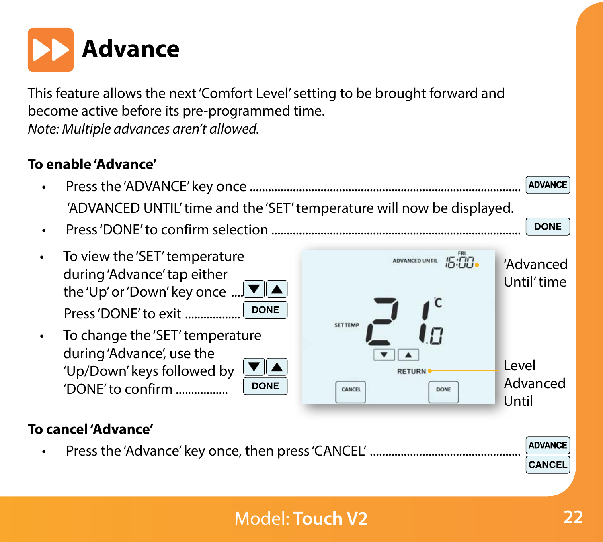

This feature allows the next 'Comfort Level' setting to be brought forward and become active before its pre-programmed time. *Note: Multiple advances aren't allowed.*

#### **To enable 'Advance'**

- Press the 'ADVANCE' key once ........................................................................................ **ADVANCE** 'ADVANCED UNTIL' time and the 'SET' temperature will now be displayed.
- Press 'DONE' to confirm selection .................................................................................
- To view the 'SET' temperature during 'Advance' tap either the 'Up' or 'Down' key once .... 1 Press 'DONE' to exit ..............

• To change the 'SET' temperature during 'Advance', use the 'Up/Down' keys followed b 'DONE' to confirm .................

|  | 'NΕ |
|--|-----|



#### **To cancel 'Advance'**

• Press the 'Advance' key once, then press 'CANCEL' .................................................

**DONE**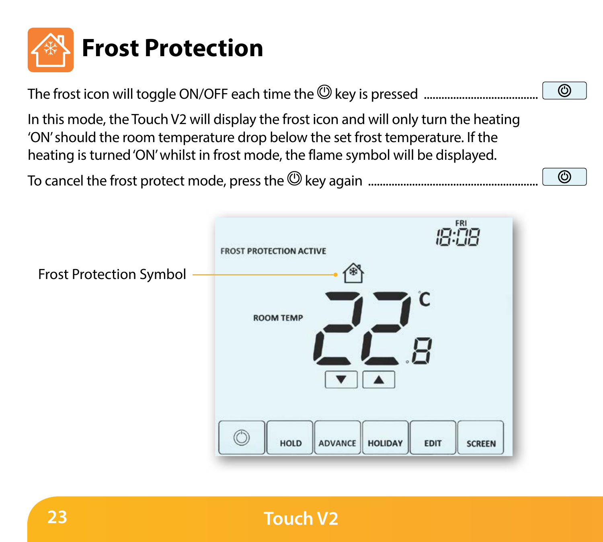

The frost icon will toggle ON/OFF each time the  $\mathsf{\mathbb{Q}}$  key is pressed .................

 $\overline{\circ}$ 

ര

In this mode, the Touch V2 will display the frost icon and will only turn the heating 'ON' should the room temperature drop below the set frost temperature. If the heating is turned 'ON' whilst in frost mode, the flame symbol will be displayed.

To cancel the frost protect mode, press the key again ..........................................................

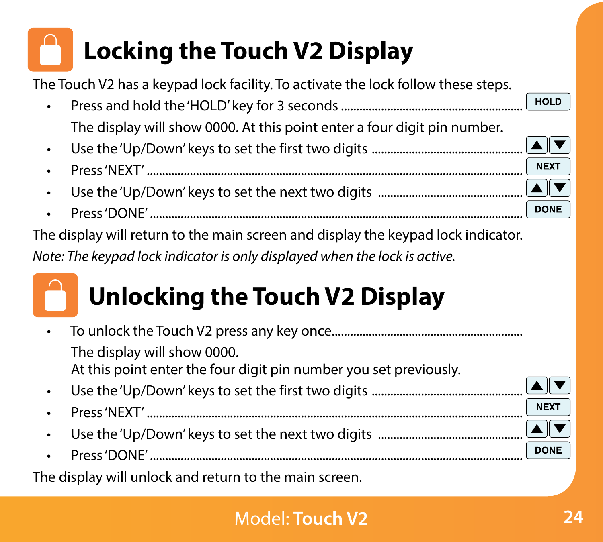# **Section Header Locking the Touch V2 Display**

The Touch V2 has a keypad lock facility. To activate the lock follow these steps.

- HOLD • Press and hold the 'HOLD' key for 3 seconds........................................................... The display will show 0000. At this point enter a four digit pin number.
- Use the 'Up/Down' keys to set the first two digits .................................................
- Press 'NEXT' ..........................................................................................................................
- Use the 'Up/Down' keys to set the next two digits ...............................................
- **DONE** • Press 'DONE' .........................................................................................................................

The display will return to the main screen and display the keypad lock indicator.

*Note: The keypad lock indicator is only displayed when the lock is active.*

# **Unlocking the Touch V2 Display**

|           | The display will show 0000.<br>At this point enter the four digit pin number you set previously. |             |
|-----------|--------------------------------------------------------------------------------------------------|-------------|
|           |                                                                                                  |             |
|           |                                                                                                  | <b>NEXT</b> |
| $\bullet$ |                                                                                                  |             |
|           |                                                                                                  | <b>DONE</b> |
|           | المتحصص والمحمد وعاله ولهامس بهجم المسوء بالمتواصل بالانتصاب والمتحالة المتعا                    |             |

The display will unlock and return to the main screen.

NEX<sub>1</sub>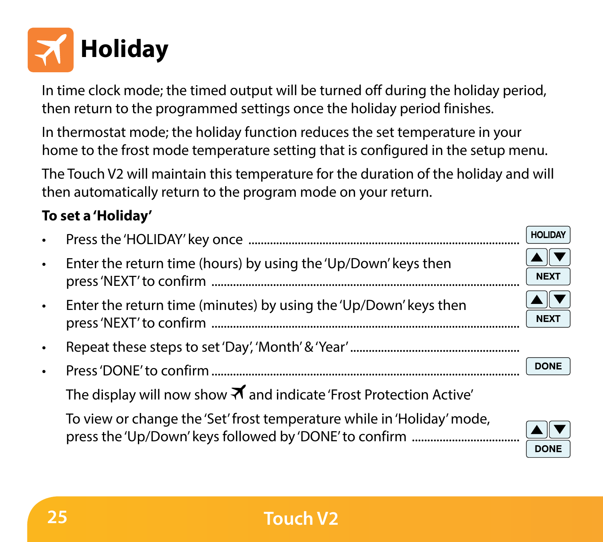

In time clock mode; the timed output will be turned off during the holiday period, then return to the programmed settings once the holiday period finishes.

In thermostat mode; the holiday function reduces the set temperature in your home to the frost mode temperature setting that is configured in the setup menu.

The Touch V2 will maintain this temperature for the duration of the holiday and will then automatically return to the program mode on your return.

#### **To set a 'Holiday'**

|                                                                            | <b>HOLIDAY</b>   |
|----------------------------------------------------------------------------|------------------|
| Enter the return time (hours) by using the 'Up/Down' keys then             | NEX <sub>1</sub> |
| Enter the return time (minutes) by using the 'Up/Down' keys then           | NEX <sub>1</sub> |
|                                                                            |                  |
|                                                                            | <b>DONE</b>      |
| The display will now show $\vec{=}$ and indicate 'Frost Protection Active' |                  |
| To view or change the 'Set' frost temperature while in 'Holiday' mode,     | <b>DONE</b>      |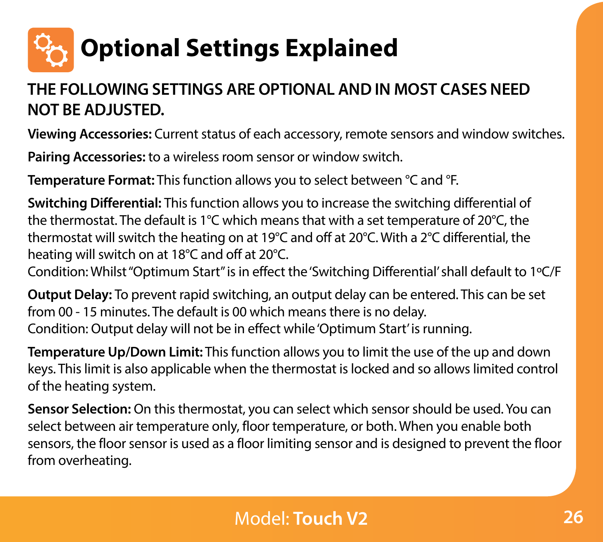

#### **THE FOLLOWING SETTINGS ARE OPTIONAL AND IN MOST CASES NEED NOT BE ADJUSTED.**

**Viewing Accessories:** Current status of each accessory, remote sensors and window switches.

**Pairing Accessories:** to a wireless room sensor or window switch.

**Temperature Format:** This function allows you to select between °C and °F.

**Switching Differential:** This function allows you to increase the switching differential of the thermostat. The default is 1°C which means that with a set temperature of 20°C, the thermostat will switch the heating on at 19°C and off at 20°C. With a 2°C differential, the heating will switch on at 18°C and off at 20°C.

Condition: Whilst "Optimum Start" is in effect the 'Switching Differential' shall default to 1ºC/F

**Output Delay:** To prevent rapid switching, an output delay can be entered. This can be set from 00 - 15 minutes. The default is 00 which means there is no delay. Condition: Output delay will not be in effect while 'Optimum Start' is running.

**Temperature Up/Down Limit:** This function allows you to limit the use of the up and down keys. This limit is also applicable when the thermostat is locked and so allows limited control of the heating system.

**Sensor Selection:** On this thermostat, you can select which sensor should be used. You can select between air temperature only, floor temperature, or both. When you enable both sensors, the floor sensor is used as a floor limiting sensor and is designed to prevent the floor from overheating.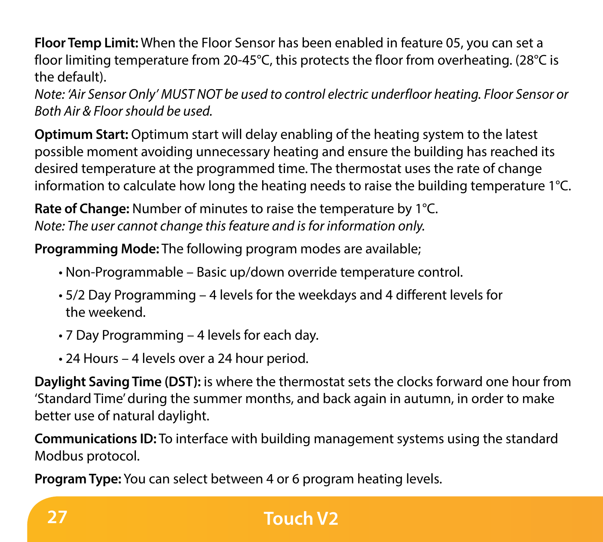**Section Header** floor limiting temperature from 20-45°C, this protects the floor from overheating. (28°C is **Floor Temp Limit:** When the Floor Sensor has been enabled in feature 05, you can set a the default).

*Note: 'Air Sensor Only' MUST NOT be used to control electric underfloor heating. Floor Sensor or Both Air & Floor should be used.*

**Optimum Start:** Optimum start will delay enabling of the heating system to the latest possible moment avoiding unnecessary heating and ensure the building has reached its desired temperature at the programmed time. The thermostat uses the rate of change information to calculate how long the heating needs to raise the building temperature 1°C.

**Rate of Change:** Number of minutes to raise the temperature by 1°C. *Note: The user cannot change this feature and is for information only.*

**Programming Mode:** The following program modes are available;

- Non-Programmable Basic up/down override temperature control.
- 5/2 Day Programming 4 levels for the weekdays and 4 different levels for the weekend.
- 7 Day Programming 4 levels for each day.
- 24 Hours 4 levels over a 24 hour period.

**Daylight Saving Time (DST):** is where the thermostat sets the clocks forward one hour from 'Standard Time' during the summer months, and back again in autumn, in order to make better use of natural daylight.

**Communications ID:** To interface with building management systems using the standard Modbus protocol.

**Program Type:** You can select between 4 or 6 program heating levels.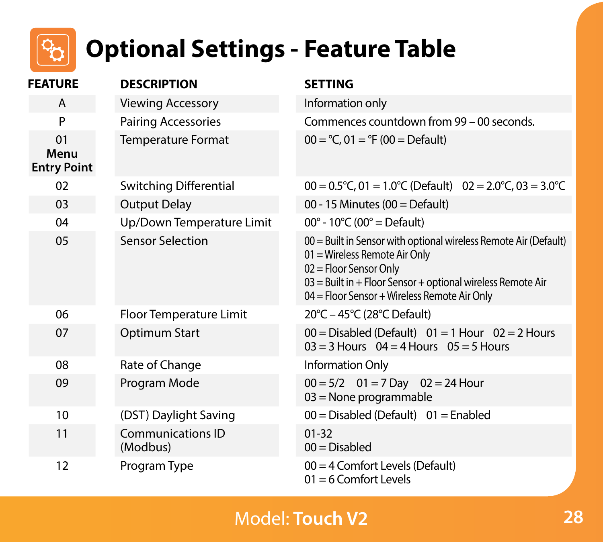

# **Section Header Optional Settings - Feature Table**

| <b>FEATURE</b>                   | <b>DESCRIPTION</b>                   | <b>SETTING</b>                                                                                                                                                                                                                             |
|----------------------------------|--------------------------------------|--------------------------------------------------------------------------------------------------------------------------------------------------------------------------------------------------------------------------------------------|
| A                                | <b>Viewing Accessory</b>             | Information only                                                                                                                                                                                                                           |
| P                                | <b>Pairing Accessories</b>           | Commences countdown from 99 - 00 seconds.                                                                                                                                                                                                  |
| 01<br>Menu<br><b>Entry Point</b> | <b>Temperature Format</b>            | $00 = C$ , $01 = C$ (00 = Default)                                                                                                                                                                                                         |
| 02                               | Switching Differential               | $00 = 0.5^{\circ}$ C, 01 = 1.0°C (Default) $02 = 2.0^{\circ}$ C, 03 = 3.0°C                                                                                                                                                                |
| 03                               | <b>Output Delay</b>                  | 00 - 15 Minutes (00 = Default)                                                                                                                                                                                                             |
| 04                               | Up/Down Temperature Limit            | $00^{\circ}$ - 10°C (00° = Default)                                                                                                                                                                                                        |
| 0 <sub>5</sub>                   | <b>Sensor Selection</b>              | 00 = Built in Sensor with optional wireless Remote Air (Default)<br>01 = Wireless Remote Air Only<br>02 = Floor Sensor Only<br>03 = Built in + Floor Sensor + optional wireless Remote Air<br>04 = Floor Sensor + Wireless Remote Air Only |
| 06                               | Floor Temperature Limit              | 20°C - 45°C (28°C Default)                                                                                                                                                                                                                 |
| 07                               | Optimum Start                        | $00 = Disabeled (Default)$ $01 = 1$ Hour $02 = 2$ Hours<br>$03 = 3$ Hours $04 = 4$ Hours $05 = 5$ Hours                                                                                                                                    |
| 08                               | Rate of Change                       | Information Only                                                                                                                                                                                                                           |
| 09                               | Program Mode                         | $00 = 5/2$ $01 = 7$ Day $02 = 24$ Hour<br>$03$ = None programmable                                                                                                                                                                         |
| 10                               | (DST) Daylight Saving                | $00 =$ Disabled (Default) $01 =$ Enabled                                                                                                                                                                                                   |
| 11                               | <b>Communications ID</b><br>(Modbus) | $01 - 32$<br>$00 = Disabled$                                                                                                                                                                                                               |
| 12                               | Program Type                         | 00 = 4 Comfort Levels (Default)<br>$01 = 6$ Comfort Levels                                                                                                                                                                                 |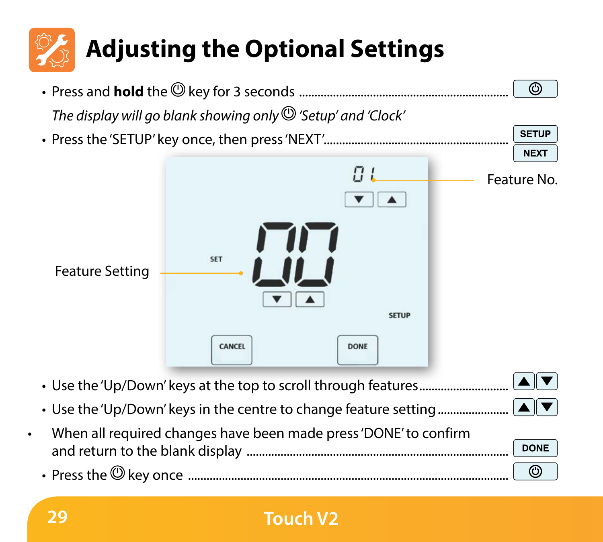

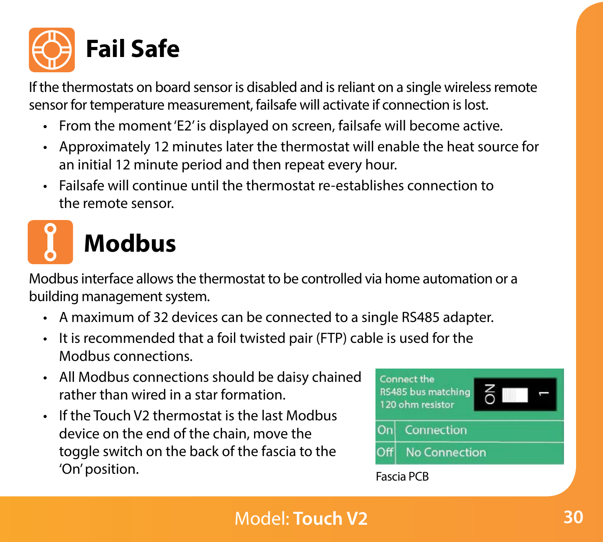

If the thermostats on board sensor is disabled and is reliant on a single wireless remote sensor for temperature measurement, failsafe will activate if connection is lost.

- From the moment 'E2' is displayed on screen, failsafe will become active.
- Approximately 12 minutes later the thermostat will enable the heat source for an initial 12 minute period and then repeat every hour.
- Failsafe will continue until the thermostat re-establishes connection to the remote sensor.



# **Modbus**

Modbus interface allows the thermostat to be controlled via home automation or a building management system.

- A maximum of 32 devices can be connected to a single RS485 adapter.
- It is recommended that a foil twisted pair (FTP) cable is used for the Modbus connections.
- All Modbus connections should be daisy chained rather than wired in a star formation.
- If the Touch V2 thermostat is the last Modbus device on the end of the chain, move the toggle switch on the back of the fascia to the 'On' position. The contract of the contract of the contract of the contract of the contract of the contract of the contract of the contract of the contract of the contract of the contract of the contract of the contract of

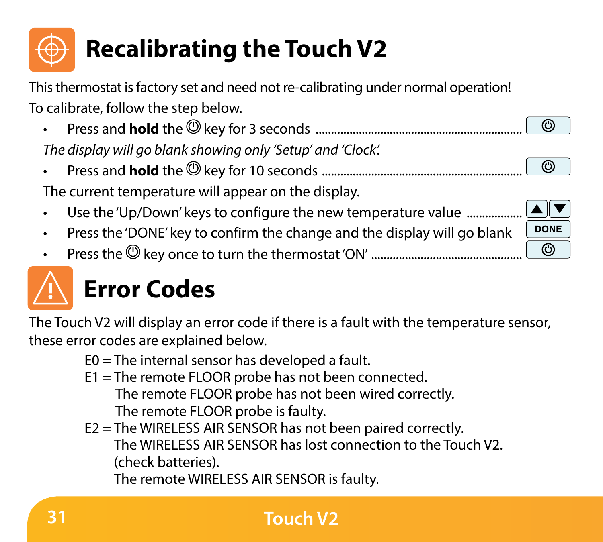# **Section Header Recalibrating the Touch V2**

This thermostat is factory set and need not re-calibrating under normal operation! To calibrate, follow the step below.

> $\circ$ ര

DONE  $\circ$ 

- Press and **hold** the key for 3 seconds ................................................................... *The display will go blank showing only 'Setup' and 'Clock'.*
- Press and **hold** the key for 10 seconds .................................................................

The current temperature will appear on the display.

- Use the 'Up/Down' keys to configure the new temperature value ...............
- Press the 'DONE' key to confirm the change and the display will go blank
- Press the key once to turn the thermostat 'ON' .................................................



# **Error Codes**

The Touch V2 will display an error code if there is a fault with the temperature sensor, these error codes are explained below.

- E0 = The internal sensor has developed a fault.
- E1 = The remote FLOOR probe has not been connected. The remote FLOOR probe has not been wired correctly. The remote FLOOR probe is faulty.
- E2 = The WIRELESS AIR SENSOR has not been paired correctly. The WIRELESS AIR SENSOR has lost connection to the Touch V2. (check batteries).

The remote WIRELESS AIR SENSOR is faulty.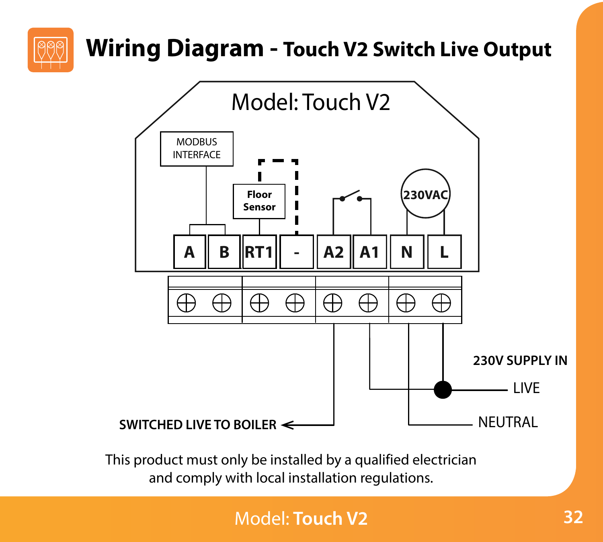

# **Section Header Wiring Diagram - Touch V2 Switch Live Output**



This product must only be installed by a qualified electrician and comply with local installation regulations.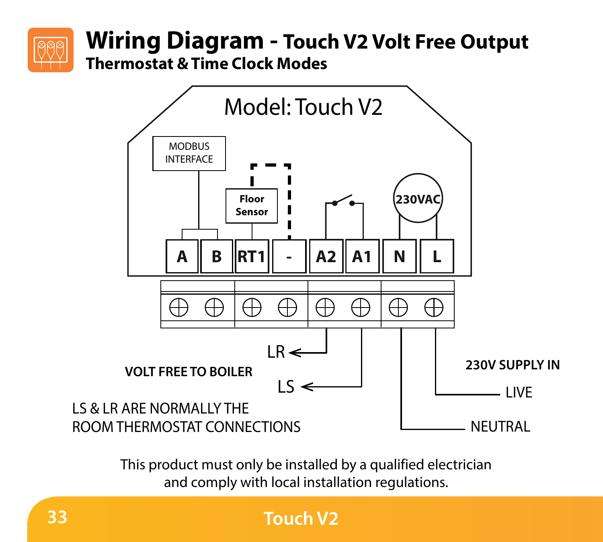

### **Section Header Thermostat & Time Clock Modes Wiring Diagram - Touch V2 Volt Free Output**



This product must only be installed by a qualified electrician and comply with local installation regulations.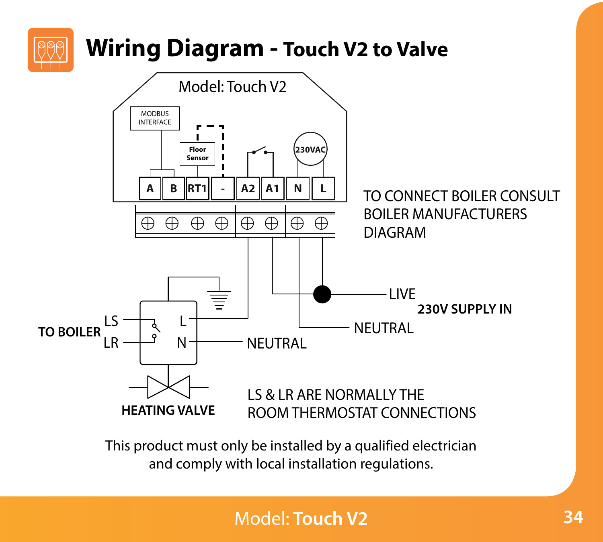

This product must only be installed by a qualified electrician and comply with local installation regulations.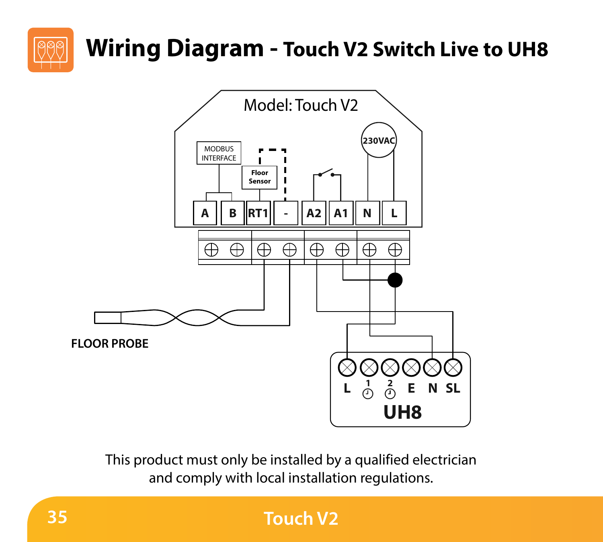

# **Section Header Wiring Diagram - Touch V2 Switch Live to UH8**



This product must only be installed by a qualified electrician and comply with local installation regulations.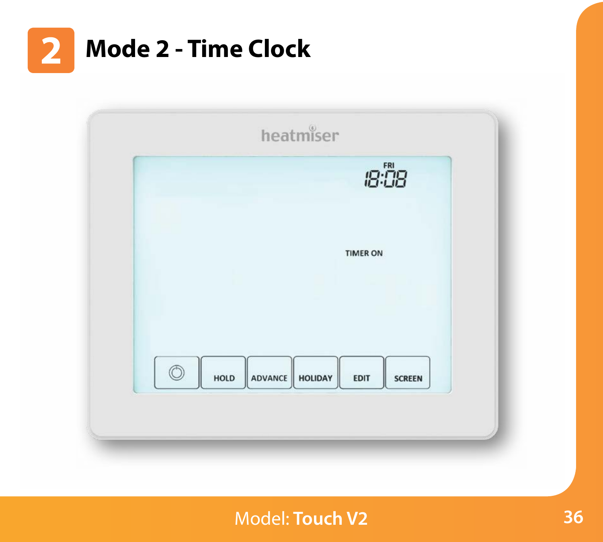

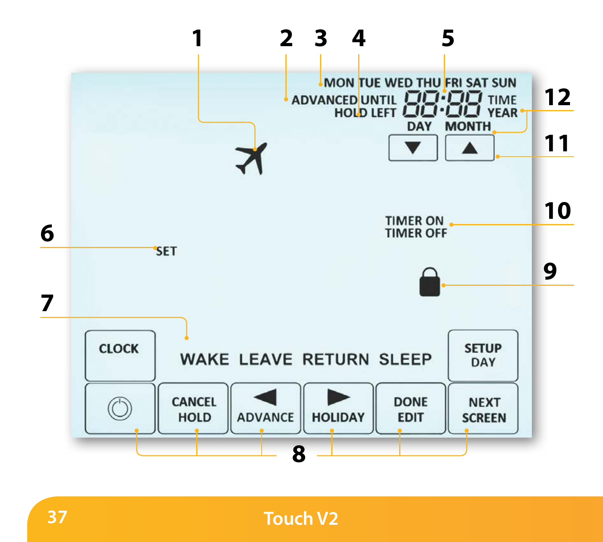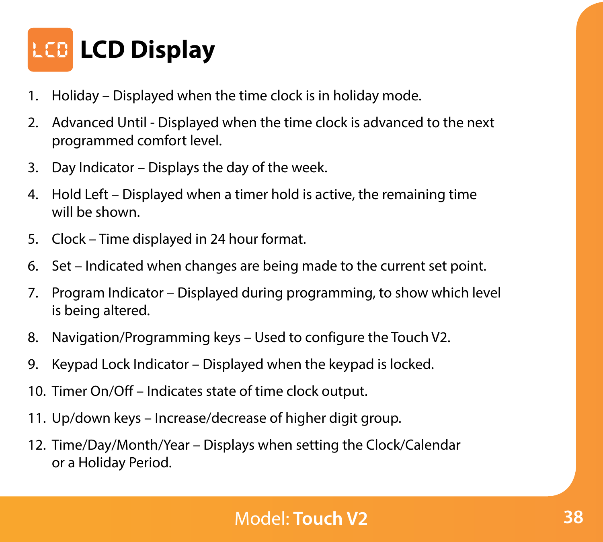

- 1. Holiday Displayed when the time clock is in holiday mode.
- 2. Advanced Until Displayed when the time clock is advanced to the next programmed comfort level.
- 3. Day Indicator Displays the day of the week.
- 4. Hold Left Displayed when a timer hold is active, the remaining time will be shown.
- 5. Clock Time displayed in 24 hour format.
- 6. Set Indicated when changes are being made to the current set point.
- 7. Program Indicator Displayed during programming, to show which level is being altered.
- 8. Navigation/Programming keys Used to configure the Touch V2.
- 9. Keypad Lock Indicator Displayed when the keypad is locked.
- 10. Timer On/Off Indicates state of time clock output.
- 11. Up/down keys Increase/decrease of higher digit group.
- 12. Time/Day/Month/Year Displays when setting the Clock/Calendar or a Holiday Period.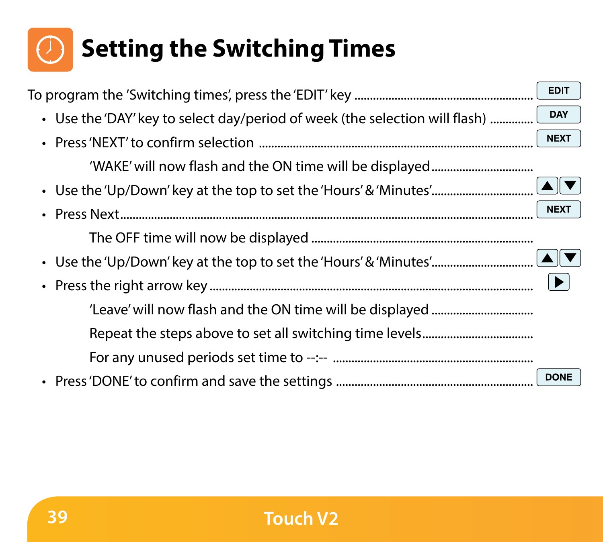# **Section Header Setting the Switching Times**

| To program the 'Switching times', press the 'EDIT' key ………………………………………………………………… | <b>EDIT</b> |
|----------------------------------------------------------------------------------|-------------|
| • Use the 'DAY' key to select day/period of week (the selection will flash)      | DAY         |
|                                                                                  | <b>NEXT</b> |
|                                                                                  |             |
|                                                                                  |             |
|                                                                                  | <b>NEXT</b> |
|                                                                                  |             |
|                                                                                  |             |
|                                                                                  |             |
|                                                                                  |             |
|                                                                                  |             |
|                                                                                  |             |
|                                                                                  | <b>DONE</b> |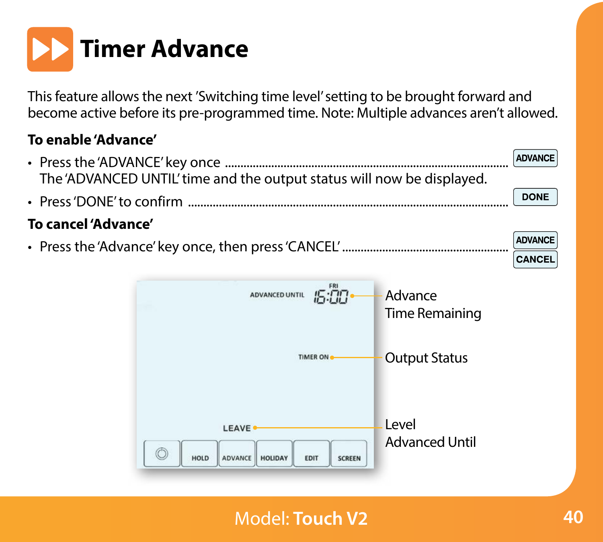

This feature allows the next 'Switching time level' setting to be brought forward and become active before its pre-programmed time. Note: Multiple advances aren't allowed.

#### **To enable 'Advance'**

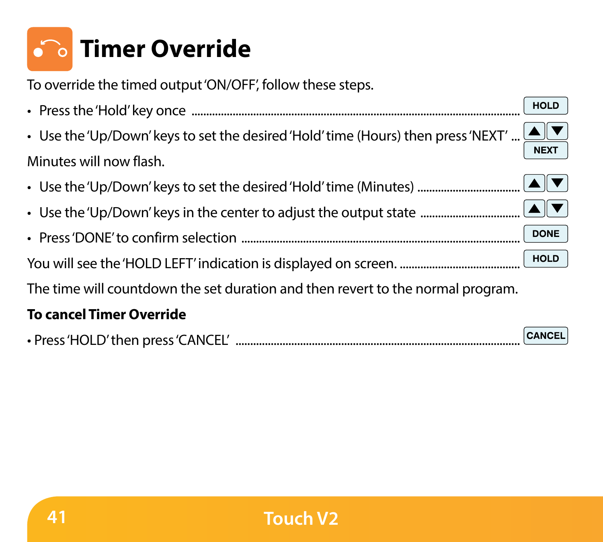# **Section Header Timer Override**

To override the timed output 'ON/OFF', follow these steps.

| <b>HOLD</b>                                                                                                                  |
|------------------------------------------------------------------------------------------------------------------------------|
| • Use the 'Up/Down' keys to set the desired 'Hold' time (Hours) then press 'NEXT' $\boxed{\blacktriangle\blacktriangledown}$ |
| Minutes will now flash.                                                                                                      |
|                                                                                                                              |
|                                                                                                                              |
| <b>DONE</b>                                                                                                                  |
|                                                                                                                              |
| The time will countdown the set duration and then revert to the normal program.                                              |
| The contract Theory Account dialect                                                                                          |

#### **To cancel Timer Override**

| • Press 'HOLD' then press 'CANCEL' |  | CANCEL |  |
|------------------------------------|--|--------|--|
|------------------------------------|--|--------|--|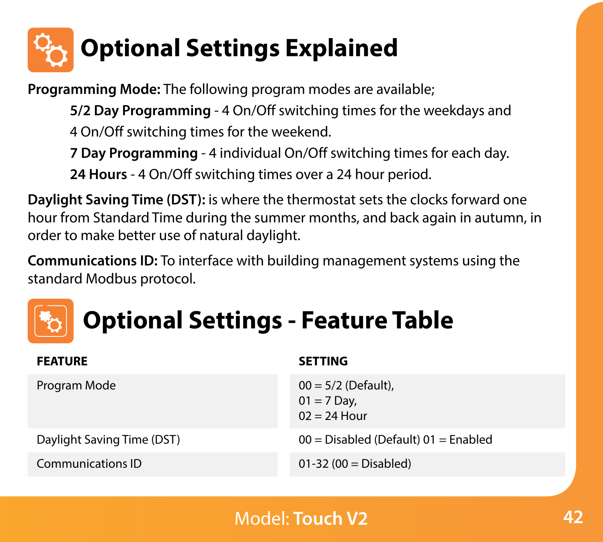

**Programming Mode:** The following program modes are available;

**5/2 Day Programming** - 4 On/Off switching times for the weekdays and 4 On/Off switching times for the weekend.

**7 Day Programming** - 4 individual On/Off switching times for each day.

**24 Hours** - 4 On/Off switching times over a 24 hour period.

**Daylight Saving Time (DST):** is where the thermostat sets the clocks forward one hour from Standard Time during the summer months, and back again in autumn, in order to make better use of natural daylight.

**Communications ID:** To interface with building management systems using the standard Modbus protocol.



| <b>FEATURE</b>             | <b>SETTING</b>                                           |
|----------------------------|----------------------------------------------------------|
| Program Mode               | $00 = 5/2$ (Default),<br>$01 = 7$ Day,<br>$02 = 24$ Hour |
| Daylight Saving Time (DST) | $00 = Disabled$ (Default) $01 =$ Enabled                 |
| Communications ID          | $01-32(00) = Disable$                                    |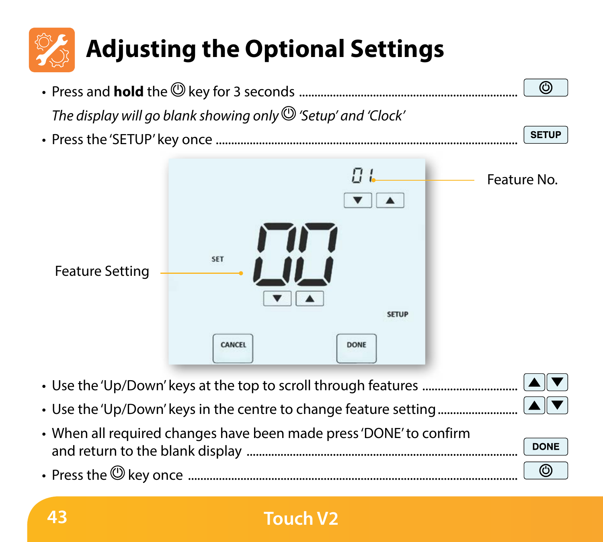

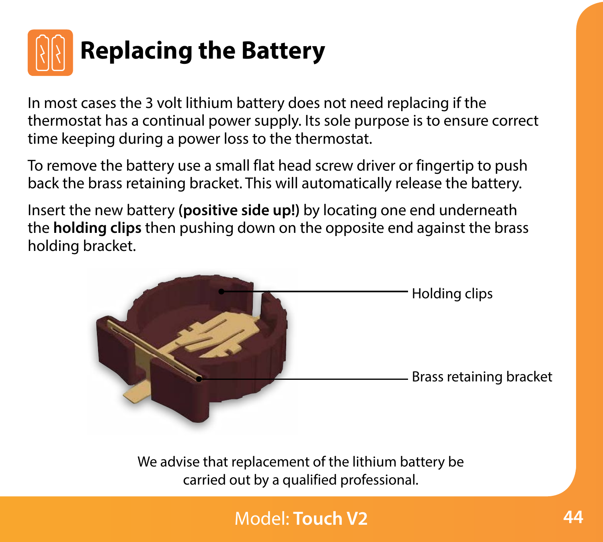

In most cases the 3 volt lithium battery does not need replacing if the thermostat has a continual power supply. Its sole purpose is to ensure correct time keeping during a power loss to the thermostat.

To remove the battery use a small flat head screw driver or fingertip to push back the brass retaining bracket. This will automatically release the battery.

Insert the new battery **(positive side up!)** by locating one end underneath the **holding clips** then pushing down on the opposite end against the brass holding bracket.



We advise that replacement of the lithium battery be carried out by a qualified professional.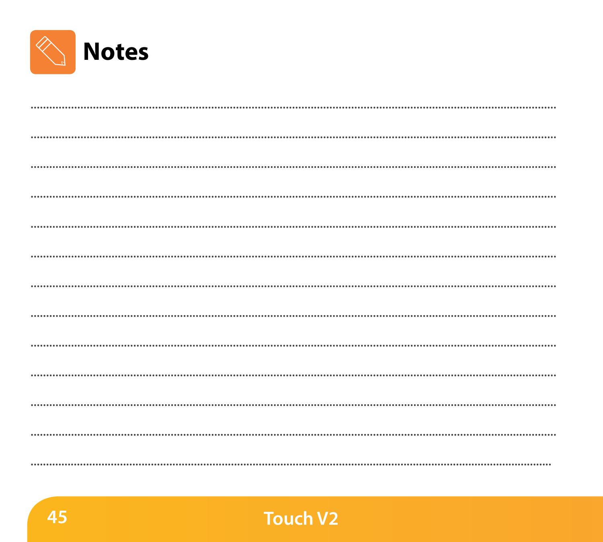

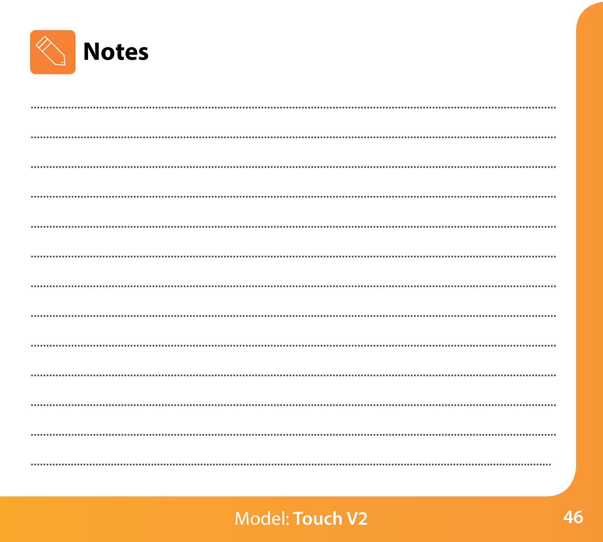